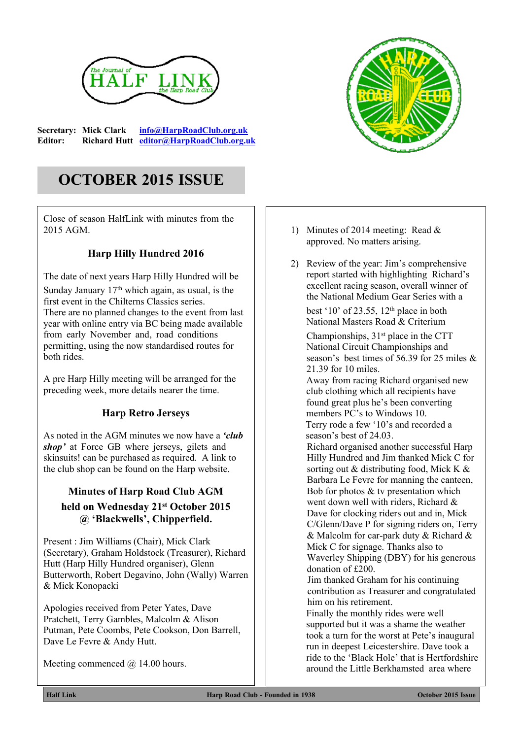

**Secretary: Mick Clark [info@HarpRoadClub.org.uk](mailto:info@HarpRoadClub.org.uk) Editor: Richard Hutt [editor@HarpRoadClub.org.uk](mailto:editor@HarpRoadClub.org.uk)**

# **OCTOBER 2015 ISSUE**

Close of season HalfLink with minutes from the 2015 AGM.

### **Harp Hilly Hundred 2016**

The date of next years Harp Hilly Hundred will be Sunday January  $17<sup>th</sup>$  which again, as usual, is the first event in the Chilterns Classics series. There are no planned changes to the event from last year with online entry via BC being made available from early November and, road conditions permitting, using the now standardised routes for both rides.

A pre Harp Hilly meeting will be arranged for the preceding week, more details nearer the time.

### **Harp Retro Jerseys**

As noted in the AGM minutes we now have a *'club shop'* at Force GB where jerseys, gilets and skinsuits! can be purchased as required. A link to the club shop can be found on the Harp website.

## **Minutes of Harp Road Club AGM held on Wednesday 21st October 2015 @ 'Blackwells', Chipperfield.**

Present : Jim Williams (Chair), Mick Clark (Secretary), Graham Holdstock (Treasurer), Richard Hutt (Harp Hilly Hundred organiser), Glenn Butterworth, Robert Degavino, John (Wally) Warren & Mick Konopacki

Apologies received from Peter Yates, Dave Pratchett, Terry Gambles, Malcolm & Alison Putman, Pete Coombs, Pete Cookson, Don Barrell, Dave Le Fevre & Andy Hutt.

Meeting commenced  $(a)$  14.00 hours.



- 1) Minutes of 2014 meeting: Read & approved. No matters arising.
- 2) Review of the year: Jim's comprehensive report started with highlighting Richard's excellent racing season, overall winner of the National Medium Gear Series with a best '10' of 23.55,  $12<sup>th</sup>$  place in both National Masters Road & Criterium

Championships,  $31<sup>st</sup>$  place in the CTT National Circuit Championships and season's best times of 56.39 for 25 miles & 21.39 for 10 miles.

Away from racing Richard organised new club clothing which all recipients have found great plus he's been converting members PC's to Windows 10. Terry rode a few '10's and recorded a season's best of 24.03.

Richard organised another successful Harp Hilly Hundred and Jim thanked Mick C for sorting out & distributing food, Mick K & Barbara Le Fevre for manning the canteen, Bob for photos & tv presentation which went down well with riders, Richard & Dave for clocking riders out and in, Mick C/Glenn/Dave P for signing riders on, Terry & Malcolm for car-park duty & Richard & Mick C for signage. Thanks also to Waverley Shipping (DBY) for his generous donation of £200.

Jim thanked Graham for his continuing contribution as Treasurer and congratulated him on his retirement.

Finally the monthly rides were well supported but it was a shame the weather took a turn for the worst at Pete's inaugural run in deepest Leicestershire. Dave took a ride to the 'Black Hole' that is Hertfordshire around the Little Berkhamsted area where